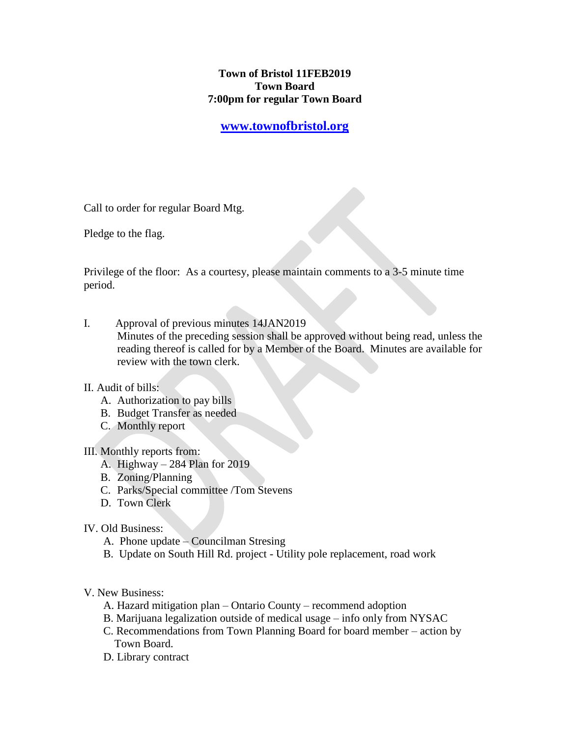### **Town of Bristol 11FEB2019 Town Board 7:00pm for regular Town Board**

## **[www.townofbristol.org](http://www.townofbristol.org/)**

Call to order for regular Board Mtg.

Pledge to the flag.

Privilege of the floor: As a courtesy, please maintain comments to a 3-5 minute time period.

I. Approval of previous minutes 14JAN2019 Minutes of the preceding session shall be approved without being read, unless the reading thereof is called for by a Member of the Board. Minutes are available for review with the town clerk.

#### II. Audit of bills:

- A. Authorization to pay bills
- B. Budget Transfer as needed
- C. Monthly report

#### III. Monthly reports from:

- A. Highway 284 Plan for 2019
- B. Zoning/Planning
- C. Parks/Special committee /Tom Stevens
- D. Town Clerk

#### IV. Old Business:

- A. Phone update Councilman Stresing
- B. Update on South Hill Rd. project Utility pole replacement, road work
- V. New Business:
	- A. Hazard mitigation plan Ontario County recommend adoption
	- B. Marijuana legalization outside of medical usage info only from NYSAC
	- C. Recommendations from Town Planning Board for board member action by Town Board.
	- D. Library contract